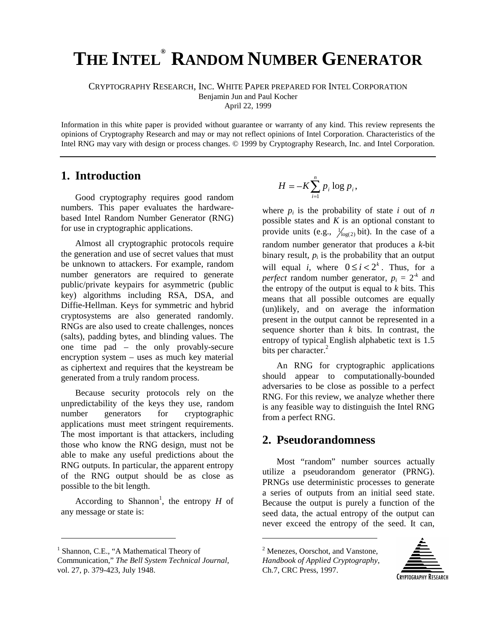# **THE INTEL ® RANDOM NUMBER GENERATOR**

CRYPTOGRAPHY RESEARCH, INC. WHITE PAPER PREPARED FOR INTEL CORPORATION

Benjamin Jun and Paul Kocher

April 22, 1999

Information in this white paper is provided without guarantee or warranty of any kind. This review represents the opinions of Cryptography Research and may or may not reflect opinions of Intel Corporation. Characteristics of the Intel RNG may vary with design or process changes. © 1999 by Cryptography Research, Inc. and Intel Corporation.

## **1. Introduction**

Good cryptography requires good random numbers. This paper evaluates the hardwarebased Intel Random Number Generator (RNG) for use in cryptographic applications.

Almost all cryptographic protocols require the generation and use of secret values that must be unknown to attackers. For example, random number generators are required to generate public/private keypairs for asymmetric (public key) algorithms including RSA, DSA, and Diffie-Hellman. Keys for symmetric and hybrid cryptosystems are also generated randomly. RNGs are also used to create challenges, nonces (salts), padding bytes, and blinding values. The one time pad – the only provably-secure encryption system – uses as much key material as ciphertext and requires that the keystream be generated from a truly random process.

Because security protocols rely on the unpredictability of the keys they use, random number generators for cryptographic applications must meet stringent requirements. The most important is that attackers, including those who know the RNG design, must not be able to make any useful predictions about the RNG outputs. In particular, the apparent entropy of the RNG output should be as close as possible to the bit length.

According to Shannon<sup>1</sup>, the entropy  $H$  of any message or state is:

 $\overline{a}$ 

$$
H = -K \sum_{i=1}^{n} p_i \log p_i,
$$

where  $p_i$  is the probability of state  $i$  out of  $n$ possible states and *K* is an optional constant to provide units (e.g.,  $\frac{1}{\log(2)}$  bit). In the case of a random number generator that produces a *k*-bit binary result,  $p_i$  is the probability that an output will equal *i*, where  $0 \le i < 2^k$ . Thus, for a *perfect* random number generator,  $p_i = 2^k$  and the entropy of the output is equal to  $k$  bits. This means that all possible outcomes are equally (un)likely, and on average the information present in the output cannot be represented in a sequence shorter than *k* bits. In contrast, the entropy of typical English alphabetic text is 1.5 bits per character.<sup>2</sup>

An RNG for cryptographic applications should appear to computationally-bounded adversaries to be close as possible to a perfect RNG. For this review, we analyze whether there is any feasible way to distinguish the Intel RNG from a perfect RNG.

# **2. Pseudorandomness**

Most "random" number sources actually utilize a pseudorandom generator (PRNG). PRNGs use deterministic processes to generate a series of outputs from an initial seed state. Because the output is purely a function of the seed data, the actual entropy of the output can never exceed the entropy of the seed. It can,

<sup>2</sup> Menezes, Oorschot, and Vanstone, *Handbook of Applied Cryptography*, Ch.7, CRC Press, 1997.

 $\overline{a}$ 



<sup>&</sup>lt;sup>1</sup> Shannon, C.E., "A Mathematical Theory of Communication," *The Bell System Technical Journal,* vol. 27, p. 379-423, July 1948.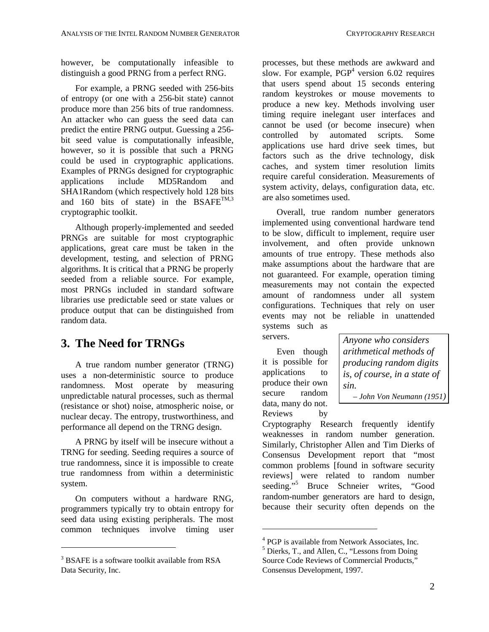however, be computationally infeasible to distinguish a good PRNG from a perfect RNG.

For example, a PRNG seeded with 256-bits of entropy (or one with a 256-bit state) cannot produce more than 256 bits of true randomness. An attacker who can guess the seed data can predict the entire PRNG output. Guessing a 256 bit seed value is computationally infeasible, however, so it is possible that such a PRNG could be used in cryptographic applications. Examples of PRNGs designed for cryptographic applications include MD5Random and SHA1Random (which respectively hold 128 bits and 160 bits of state) in the  $BSAFE^{TM,3}$ cryptographic toolkit.

Although properly-implemented and seeded PRNGs are suitable for most cryptographic applications, great care must be taken in the development, testing, and selection of PRNG algorithms. It is critical that a PRNG be properly seeded from a reliable source. For example, most PRNGs included in standard software libraries use predictable seed or state values or produce output that can be distinguished from random data.

# **3. The Need for TRNGs**

A true random number generator (TRNG) uses a non-deterministic source to produce randomness. Most operate by measuring unpredictable natural processes, such as thermal (resistance or shot) noise, atmospheric noise, or nuclear decay. The entropy, trustworthiness, and performance all depend on the TRNG design.

A PRNG by itself will be insecure without a TRNG for seeding. Seeding requires a source of true randomness, since it is impossible to create true randomness from within a deterministic system.

On computers without a hardware RNG, programmers typically try to obtain entropy for seed data using existing peripherals. The most common techniques involve timing user

 $\overline{a}$ 

processes, but these methods are awkward and slow. For example,  $PGP<sup>4</sup>$  version 6.02 requires that users spend about 15 seconds entering random keystrokes or mouse movements to produce a new key. Methods involving user timing require inelegant user interfaces and cannot be used (or become insecure) when controlled by automated scripts. Some applications use hard drive seek times, but factors such as the drive technology, disk caches, and system timer resolution limits require careful consideration. Measurements of system activity, delays, configuration data, etc. are also sometimes used.

Overall, true random number generators implemented using conventional hardware tend to be slow, difficult to implement, require user involvement, and often provide unknown amounts of true entropy. These methods also make assumptions about the hardware that are not guaranteed. For example, operation timing measurements may not contain the expected amount of randomness under all system configurations. Techniques that rely on user events may not be reliable in unattended systems such as

servers.

Even though it is possible for applications to produce their own secure random data, many do not. Reviews by

 $\overline{a}$ 

*Anyone who considers arithmetical methods of producing random digits is, of course, in a state of sin.*

 *– John Von Neumann (1951)*

Cryptography Research frequently identify weaknesses in random number generation. Similarly, Christopher Allen and Tim Dierks of Consensus Development report that "most common problems [found in software security reviews] were related to random number seeding."<sup>5</sup> Bruce Schneier writes, "Good random-number generators are hard to design, because their security often depends on the

<sup>&</sup>lt;sup>3</sup> BSAFE is a software toolkit available from RSA Data Security, Inc.

<sup>&</sup>lt;sup>4</sup> PGP is available from Network Associates, Inc.

<sup>&</sup>lt;sup>5</sup> Dierks, T., and Allen, C., "Lessons from Doing Source Code Reviews of Commercial Products," Consensus Development, 1997.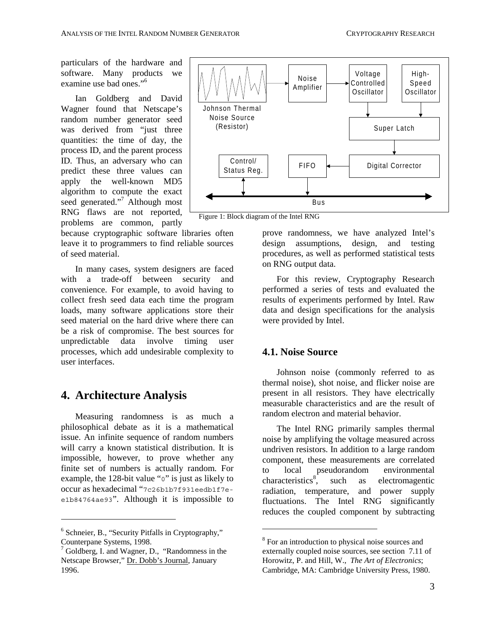particulars of the hardware and software. Many products we examine use bad ones."<sup>6</sup>

Ian Goldberg and David Wagner found that Netscape's random number generator seed was derived from "just three quantities: the time of day, the process ID, and the parent process ID. Thus, an adversary who can predict these three values can apply the well-known MD5 algorithm to compute the exact seed generated."<sup>7</sup> Although most RNG flaws are not reported, problems are common, partly

because cryptographic software libraries often leave it to programmers to find reliable sources of seed material.

In many cases, system designers are faced with a trade-off between security and convenience. For example, to avoid having to collect fresh seed data each time the program loads, many software applications store their seed material on the hard drive where there can be a risk of compromise. The best sources for unpredictable data involve timing user processes, which add undesirable complexity to user interfaces.

# **4. Architecture Analysis**

Measuring randomness is as much a philosophical debate as it is a mathematical issue. An infinite sequence of random numbers will carry a known statistical distribution. It is impossible, however, to prove whether any finite set of numbers is actually random. For example, the 128-bit value "0" is just as likely to occur as hexadecimal "7c26b1b7f931eedb1f7ee1b84764ae93". Although it is impossible to

 $\overline{a}$ 



Figure 1: Block diagram of the Intel RNG

 $\overline{a}$ 

prove randomness, we have analyzed Intel's design assumptions, design, and testing procedures, as well as performed statistical tests on RNG output data.

For this review, Cryptography Research performed a series of tests and evaluated the results of experiments performed by Intel. Raw data and design specifications for the analysis were provided by Intel.

#### **4.1. Noise Source**

Johnson noise (commonly referred to as thermal noise), shot noise, and flicker noise are present in all resistors. They have electrically measurable characteristics and are the result of random electron and material behavior.

The Intel RNG primarily samples thermal noise by amplifying the voltage measured across undriven resistors. In addition to a large random component, these measurements are correlated to local pseudorandom environmental characteristics $\delta$ , , such as electromagentic radiation, temperature, and power supply fluctuations. The Intel RNG significantly reduces the coupled component by subtracting

<sup>&</sup>lt;sup>6</sup> Schneier, B., "Security Pitfalls in Cryptography," Counterpane Systems, 1998.

<sup>&</sup>lt;sup>7</sup> Goldberg, I. and Wagner, D., "Randomness in the Netscape Browser," Dr. Dobb's Journal, January 1996.

<sup>&</sup>lt;sup>8</sup> For an introduction to physical noise sources and externally coupled noise sources, see section 7.11 of Horowitz, P. and Hill, W., *The Art of Electronics*; Cambridge, MA: Cambridge University Press, 1980.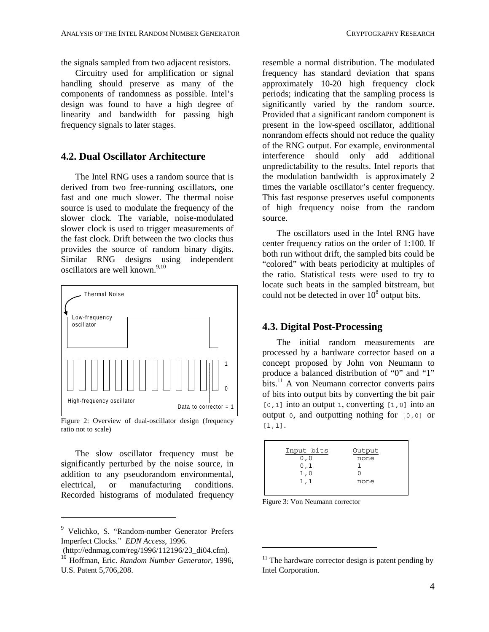the signals sampled from two adjacent resistors.

Circuitry used for amplification or signal handling should preserve as many of the components of randomness as possible. Intel's design was found to have a high degree of linearity and bandwidth for passing high frequency signals to later stages.

#### **4.2. Dual Oscillator Architecture**

The Intel RNG uses a random source that is derived from two free-running oscillators, one fast and one much slower. The thermal noise source is used to modulate the frequency of the slower clock. The variable, noise-modulated slower clock is used to trigger measurements of the fast clock. Drift between the two clocks thus provides the source of random binary digits. Similar RNG designs using independent oscillators are well known.<sup>9,10</sup>



Figure 2: Overview of dual-oscillator design (frequency ratio not to scale)

The slow oscillator frequency must be significantly perturbed by the noise source, in addition to any pseudorandom environmental, electrical, or manufacturing conditions. Recorded histograms of modulated frequency

 $\overline{a}$ 

resemble a normal distribution. The modulated frequency has standard deviation that spans approximately 10-20 high frequency clock periods; indicating that the sampling process is significantly varied by the random source. Provided that a significant random component is present in the low-speed oscillator, additional nonrandom effects should not reduce the quality of the RNG output. For example, environmental interference should only add additional unpredictability to the results. Intel reports that the modulation bandwidth is approximately 2 times the variable oscillator's center frequency. This fast response preserves useful components of high frequency noise from the random source.

The oscillators used in the Intel RNG have center frequency ratios on the order of 1:100. If both run without drift, the sampled bits could be "colored" with beats periodicity at multiples of the ratio. Statistical tests were used to try to locate such beats in the sampled bitstream, but could not be detected in over  $10^8$  output bits.

#### **4.3. Digital Post-Processing**

The initial random measurements are processed by a hardware corrector based on a concept proposed by John von Neumann to produce a balanced distribution of "0" and "1"  $\hat{\text{bits}}$ .<sup>11</sup> A von Neumann corrector converts pairs of bits into output bits by converting the bit pair  $[0, 1]$  into an output 1, converting  $[1, 0]$  into an output 0, and outputting nothing for [0,0] or [1,1].

| Input bits | Output |  |
|------------|--------|--|
| 0, 0       | none   |  |
| 0,1        |        |  |
| 1,0        |        |  |
| 1,1        | none   |  |
|            |        |  |
|            |        |  |

Figure 3: Von Neumann corrector

 $\overline{a}$ 

<sup>9</sup> Velichko, S. "Random-number Generator Prefers Imperfect Clocks." *EDN Access*, 1996.

 <sup>(</sup>http://ednmag.com/reg/1996/112196/23\_di04.cfm).

<sup>10</sup> Hoffman, Eric. *Random Number Generator*, 1996, U.S. Patent 5,706,208.

 $11$  The hardware corrector design is patent pending by Intel Corporation.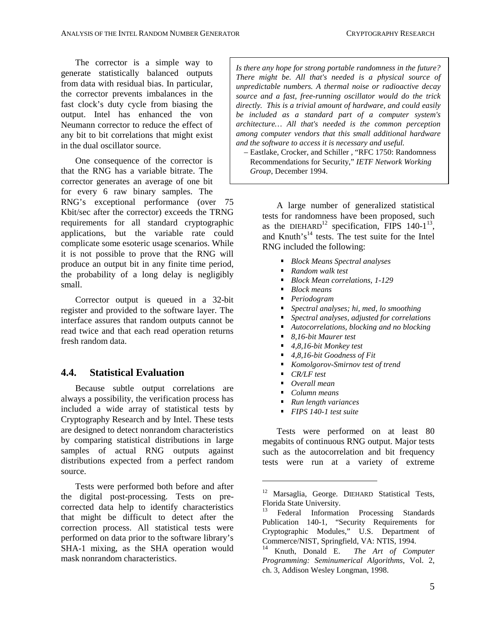The corrector is a simple way to generate statistically balanced outputs from data with residual bias. In particular, the corrector prevents imbalances in the fast clock's duty cycle from biasing the output. Intel has enhanced the von Neumann corrector to reduce the effect of any bit to bit correlations that might exist in the dual oscillator source.

One consequence of the corrector is that the RNG has a variable bitrate. The corrector generates an average of one bit for every 6 raw binary samples. The RNG's exceptional performance (over 75 Kbit/sec after the corrector) exceeds the TRNG requirements for all standard cryptographic applications, but the variable rate could complicate some esoteric usage scenarios. While it is not possible to prove that the RNG will produce an output bit in any finite time period, the probability of a long delay is negligibly small.

Corrector output is queued in a 32-bit register and provided to the software layer. The interface assures that random outputs cannot be read twice and that each read operation returns fresh random data.

## **4.4. Statistical Evaluation**

Because subtle output correlations are always a possibility, the verification process has included a wide array of statistical tests by Cryptography Research and by Intel. These tests are designed to detect nonrandom characteristics by comparing statistical distributions in large samples of actual RNG outputs against distributions expected from a perfect random source.

Tests were performed both before and after the digital post-processing. Tests on precorrected data help to identify characteristics that might be difficult to detect after the correction process. All statistical tests were performed on data prior to the software library's SHA-1 mixing, as the SHA operation would mask nonrandom characteristics.

*Is there any hope for strong portable randomness in the future? There might be. All that's needed is a physical source of unpredictable numbers. A thermal noise or radioactive decay source and a fast, free-running oscillator would do the trick directly. This is a trivial amount of hardware, and could easily be included as a standard part of a computer system's architecture… All that's needed is the common perception among computer vendors that this small additional hardware and the software to access it is necessary and useful.*

 *–* Eastlake, Crocker, and Schiller *,* "RFC 1750: Randomness Recommendations for Security," *IETF Network Working Group*, December 1994.

A large number of generalized statistical tests for randomness have been proposed, such as the DIEHARD<sup>12</sup> specification, FIPS  $140-1^{13}$ , and Knuth's<sup>14</sup> tests. The test suite for the Intel RNG included the following:

- *Block Means Spectral analyses*
- *Random walk test* ŗ
- *Block Mean correlations, 1-129*
- *Block means*
- *Periodogram*  $\blacksquare$
- *Spectral analyses; hi, med, lo smoothing* ۳
- *Spectral analyses, adjusted for correlations* ŗ
- *Autocorrelations, blocking and no blocking*
- *8,16-bit Maurer test*
- *4,8,16-bit Monkey test*
- *4,8,16-bit Goodness of Fit*
- *Komolgorov-Smirnov test of trend*
- *CR/LF test*

 $\overline{a}$ 

- *Overall mean*
- *Column means*  $\blacksquare$
- *Run length variances*  $\blacksquare$
- *FIPS 140-1 test suite*

Tests were performed on at least 80 megabits of continuous RNG output. Major tests such as the autocorrelation and bit frequency tests were run at a variety of extreme

<sup>&</sup>lt;sup>12</sup> Marsaglia, George. DIEHARD Statistical Tests, Florida State University.<br><sup>13</sup> Eadaml Informati

Federal Information Processing Standards Publication 140-1, "Security Requirements for Cryptographic Modules," U.S. Department of Commerce/NIST, Springfield, VA: NTIS, 1994.

<sup>14</sup> Knuth, Donald E. *The Art of Computer Programming: Seminumerical Algorithms*, Vol. 2, ch. 3, Addison Wesley Longman, 1998.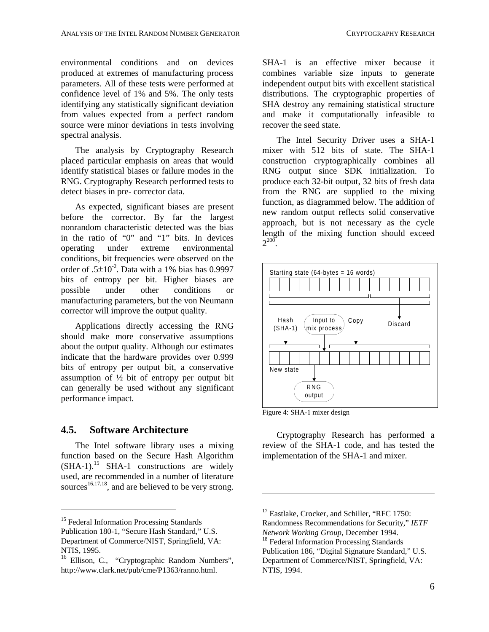environmental conditions and on devices produced at extremes of manufacturing process parameters. All of these tests were performed at confidence level of 1% and 5%. The only tests identifying any statistically significant deviation from values expected from a perfect random source were minor deviations in tests involving spectral analysis.

The analysis by Cryptography Research placed particular emphasis on areas that would identify statistical biases or failure modes in the RNG. Cryptography Research performed tests to detect biases in pre- corrector data.

As expected, significant biases are present before the corrector. By far the largest nonrandom characteristic detected was the bias in the ratio of "0" and "1" bits. In devices operating under extreme environmental conditions, bit frequencies were observed on the order of  $.5\pm10^{-2}$ . Data with a 1% bias has 0.9997 bits of entropy per bit. Higher biases are possible under other conditions or manufacturing parameters, but the von Neumann corrector will improve the output quality.

Applications directly accessing the RNG should make more conservative assumptions about the output quality. Although our estimates indicate that the hardware provides over 0.999 bits of entropy per output bit, a conservative assumption of ½ bit of entropy per output bit can generally be used without any significant performance impact.

#### **4.5. Software Architecture**

The Intel software library uses a mixing function based on the Secure Hash Algorithm  $(SHA-1)$ <sup>15</sup> SHA-1 constructions are widely used, are recommended in a number of literature sources<sup>16,17,18</sup>, and are believed to be very strong.

 $\overline{a}$ 

SHA-1 is an effective mixer because it combines variable size inputs to generate independent output bits with excellent statistical distributions. The cryptographic properties of SHA destroy any remaining statistical structure and make it computationally infeasible to recover the seed state.

The Intel Security Driver uses a SHA-1 mixer with 512 bits of state. The SHA-1 construction cryptographically combines all RNG output since SDK initialization. To produce each 32-bit output, 32 bits of fresh data from the RNG are supplied to the mixing function, as diagrammed below. The addition of new random output reflects solid conservative approach, but is not necessary as the cycle length of the mixing function should exceed  $2^{200}$ .



Figure 4: SHA-1 mixer design

 $\overline{a}$ 

Cryptography Research has performed a review of the SHA-1 code, and has tested the implementation of the SHA-1 and mixer.

<sup>&</sup>lt;sup>15</sup> Federal Information Processing Standards

Publication 180-1, "Secure Hash Standard," U.S. Department of Commerce/NIST, Springfield, VA: NTIS, 1995.

<sup>&</sup>lt;sup>16</sup> Ellison, C., "Cryptographic Random Numbers", http://www.clark.net/pub/cme/P1363/ranno.html.

<sup>&</sup>lt;sup>17</sup> Eastlake, Crocker, and Schiller, "RFC 1750: Randomness Recommendations for Security," *IETF*

<sup>&</sup>lt;sup>18</sup> Federal Information Processing Standards Publication 186, "Digital Signature Standard," U.S. Department of Commerce/NIST, Springfield, VA: NTIS, 1994.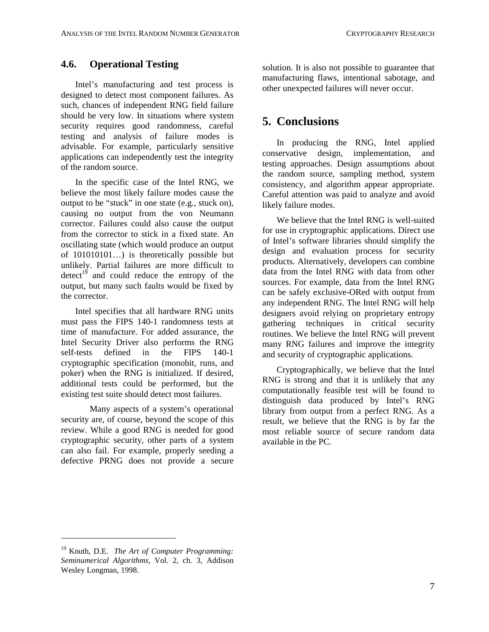#### **4.6. Operational Testing**

Intel's manufacturing and test process is designed to detect most component failures. As such, chances of independent RNG field failure should be very low. In situations where system security requires good randomness, careful testing and analysis of failure modes is advisable. For example, particularly sensitive applications can independently test the integrity of the random source.

In the specific case of the Intel RNG, we believe the most likely failure modes cause the output to be "stuck" in one state (e.g., stuck on), causing no output from the von Neumann corrector. Failures could also cause the output from the corrector to stick in a fixed state. An oscillating state (which would produce an output of 101010101…) is theoretically possible but unlikely. Partial failures are more difficult to detect<sup>19</sup> and could reduce the entropy of the output, but many such faults would be fixed by the corrector.

Intel specifies that all hardware RNG units must pass the FIPS 140-1 randomness tests at time of manufacture. For added assurance, the Intel Security Driver also performs the RNG self-tests defined in the FIPS 140-1 cryptographic specification (monobit, runs, and poker) when the RNG is initialized. If desired, additional tests could be performed, but the existing test suite should detect most failures.

Many aspects of a system's operational security are, of course, beyond the scope of this review. While a good RNG is needed for good cryptographic security, other parts of a system can also fail. For example, properly seeding a defective PRNG does not provide a secure solution. It is also not possible to guarantee that manufacturing flaws, intentional sabotage, and other unexpected failures will never occur.

# **5. Conclusions**

In producing the RNG, Intel applied conservative design, implementation, and testing approaches. Design assumptions about the random source, sampling method, system consistency, and algorithm appear appropriate. Careful attention was paid to analyze and avoid likely failure modes.

We believe that the Intel RNG is well-suited for use in cryptographic applications. Direct use of Intel's software libraries should simplify the design and evaluation process for security products. Alternatively, developers can combine data from the Intel RNG with data from other sources. For example, data from the Intel RNG can be safely exclusive-ORed with output from any independent RNG. The Intel RNG will help designers avoid relying on proprietary entropy gathering techniques in critical security routines. We believe the Intel RNG will prevent many RNG failures and improve the integrity and security of cryptographic applications.

Cryptographically, we believe that the Intel RNG is strong and that it is unlikely that any computationally feasible test will be found to distinguish data produced by Intel's RNG library from output from a perfect RNG. As a result, we believe that the RNG is by far the most reliable source of secure random data available in the PC.

 $\overline{a}$ 

<sup>19</sup> Knuth, D.E. *The Art of Computer Programming: Seminumerical Algorithms*, Vol. 2, ch. 3, Addison Wesley Longman, 1998.